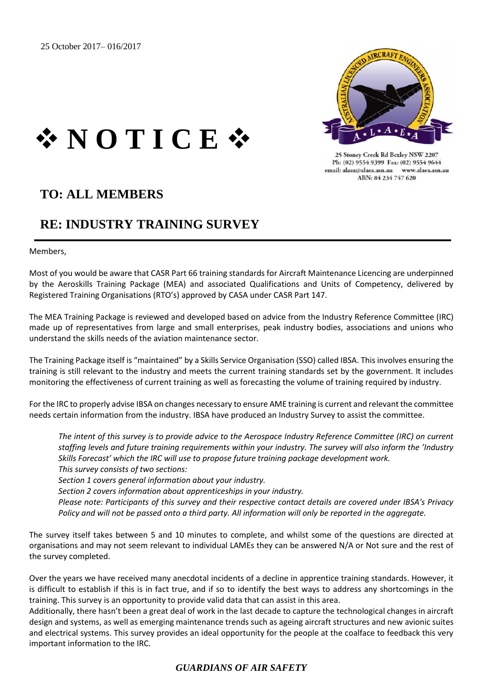

25 Stoney Creek Rd Bexley NSW 2207 Ph: (02) 9554 9399 Fax: (02) 9554 9644 email: alaea@alaea.asn.au www.alaea.asn.au ABN: 84 234 747 620

## ❖ **N O T I C E** ❖

## **TO: ALL MEMBERS**

## **RE: INDUSTRY TRAINING SURVEY**

Members,

Most of you would be aware that CASR Part 66 training standards for Aircraft Maintenance Licencing are underpinned by the Aeroskills Training Package (MEA) and associated Qualifications and Units of Competency, delivered by Registered Training Organisations (RTO's) approved by CASA under CASR Part 147.

The MEA Training Package is reviewed and developed based on advice from the Industry Reference Committee (IRC) made up of representatives from large and small enterprises, peak industry bodies, associations and unions who understand the skills needs of the aviation maintenance sector.

The Training Package itself is "maintained" by a Skills Service Organisation (SSO) called IBSA. This involves ensuring the training is still relevant to the industry and meets the current training standards set by the government. It includes monitoring the effectiveness of current training as well as forecasting the volume of training required by industry.

For the IRC to properly advise IBSA on changes necessary to ensure AME training is current and relevant the committee needs certain information from the industry. IBSA have produced an Industry Survey to assist the committee.

*The intent of this survey is to provide advice to the Aerospace Industry Reference Committee (IRC) on current staffing levels and future training requirements within your industry. The survey will also inform the 'Industry Skills Forecast' which the IRC will use to propose future training package development work. This survey consists of two sections:*

*Section 1 covers general information about your industry.*

*Section 2 covers information about apprenticeships in your industry.*

*Please note: Participants of this survey and their respective contact details are covered under IBSA's Privacy Policy and will not be passed onto a third party. All information will only be reported in the aggregate.*

The survey itself takes between 5 and 10 minutes to complete, and whilst some of the questions are directed at organisations and may not seem relevant to individual LAMEs they can be answered N/A or Not sure and the rest of the survey completed.

Over the years we have received many anecdotal incidents of a decline in apprentice training standards. However, it is difficult to establish if this is in fact true, and if so to identify the best ways to address any shortcomings in the training. This survey is an opportunity to provide valid data that can assist in this area.

Additionally, there hasn't been a great deal of work in the last decade to capture the technological changes in aircraft design and systems, as well as emerging maintenance trends such as ageing aircraft structures and new avionic suites and electrical systems. This survey provides an ideal opportunity for the people at the coalface to feedback this very important information to the IRC.

## *GUARDIANS OF AIR SAFETY*